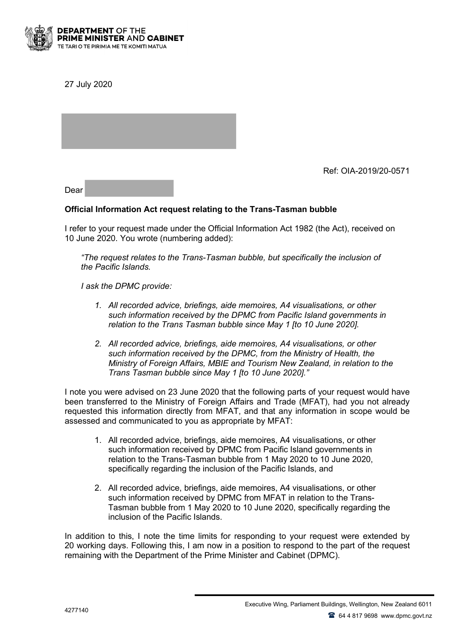

27 July 2020

Ref: OIA-2019/20-0571

Dear

## **Official Information Act request relating to the Trans-Tasman bubble**

I refer to your request made under the Official Information Act 1982 (the Act), received on 10 June 2020. You wrote (numbering added):

*"The request relates to the Trans-Tasman bubble, but specifically the inclusion of the Pacific Islands.*

*I ask the DPMC provide:*

- *1. All recorded advice, briefings, aide memoires, A4 visualisations, or other such information received by the DPMC from Pacific Island governments in relation to the Trans Tasman bubble since May 1 [to 10 June 2020].*
- *2. All recorded advice, briefings, aide memoires, A4 visualisations, or other such information received by the DPMC, from the Ministry of Health, the Ministry of Foreign Affairs, MBIE and Tourism New Zealand, in relation to the Trans Tasman bubble since May 1 [to 10 June 2020]."*

I note you were advised on 23 June 2020 that the following parts of your request would have been transferred to the Ministry of Foreign Affairs and Trade (MFAT), had you not already requested this information directly from MFAT, and that any information in scope would be assessed and communicated to you as appropriate by MFAT:

- 1. All recorded advice, briefings, aide memoires, A4 visualisations, or other such information received by DPMC from Pacific Island governments in relation to the Trans-Tasman bubble from 1 May 2020 to 10 June 2020, specifically regarding the inclusion of the Pacific Islands, and
- 2. All recorded advice, briefings, aide memoires, A4 visualisations, or other such information received by DPMC from MFAT in relation to the Trans-Tasman bubble from 1 May 2020 to 10 June 2020, specifically regarding the inclusion of the Pacific Islands.

In addition to this, I note the time limits for responding to your request were extended by 20 working days. Following this, I am now in a position to respond to the part of the request remaining with the Department of the Prime Minister and Cabinet (DPMC).